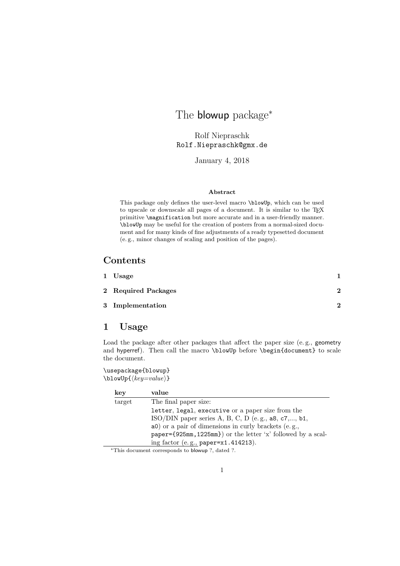# The **blowup** package<sup>\*</sup>

Rolf Niepraschk Rolf.Niepraschk@gmx.de

January 4, 2018

#### Abstract

This package only defines the user-level macro \blowUp, which can be used to upscale or downscale all pages of a document. It is similar to the T<sub>EX</sub> primitive \magnification but more accurate and in a user-friendly manner. \blowUp may be useful for the creation of posters from a normal-sized document and for many kinds of fine adjustments of a ready typesetted document (e. g., minor changes of scaling and position of the pages).

### Contents

| 1 Usage             |    |
|---------------------|----|
| 2 Required Packages | າ  |
| 3 Implementation    | ົາ |

#### 1 Usage

Load the package after other packages that affect the paper size (e. g., geometry and hyperref). Then call the macro \blowUp before \begin{document} to scale the document.

\usepackage{blowup}  $\blacksquare$ blowUp{ $\{key=value\}$ }

| key    | value                                                        |
|--------|--------------------------------------------------------------|
| target | The final paper size:                                        |
|        | letter, legal, executive or a paper size from the            |
|        | ISO/DIN paper series A, B, C, D (e.g., $a8$ , c7,, $b1$ ,    |
|        | a0) or a pair of dimensions in curly brackets (e.g.,         |
|        | paper={925mm, 1225mm}) or the letter 'x' followed by a scal- |
|        | ing factor (e.g., paper=x1.414213).                          |

<sup>∗</sup>This document corresponds to blowup ?, dated ?.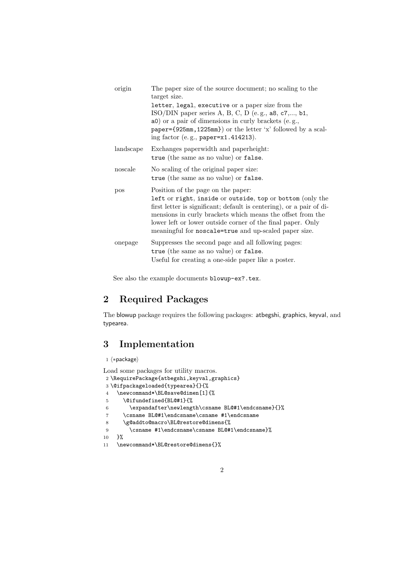| origin    | The paper size of the source document; no scaling to the<br>target size.                                                                                                                                                                                                                                                                                      |
|-----------|---------------------------------------------------------------------------------------------------------------------------------------------------------------------------------------------------------------------------------------------------------------------------------------------------------------------------------------------------------------|
|           | letter, legal, executive or a paper size from the<br>ISO/DIN paper series A, B, C, D (e.g., $a8$ , $c7$ ,, $b1$ ,<br>a0) or a pair of dimensions in curly brackets (e.g.,<br>paper={925mm,1225mm}) or the letter 'x' followed by a scal-<br>ing factor (e.g., paper=x1.414213).                                                                               |
| landscape | Exchanges paperwidth and paperheight:<br>true (the same as no value) or false.                                                                                                                                                                                                                                                                                |
| noscale   | No scaling of the original paper size:<br>true (the same as no value) or false.                                                                                                                                                                                                                                                                               |
| pos       | Position of the page on the paper:<br>left or right, inside or outside, top or bottom (only the<br>first letter is significant; default is centering), or a pair of di-<br>mensions in curly brackets which means the offset from the<br>lower left or lower outside corner of the final paper. Only<br>meaningful for noscale=true and up-scaled paper size. |
| onepage   | Suppresses the second page and all following pages:<br>true (the same as no value) or false.<br>Useful for creating a one-side paper like a poster.                                                                                                                                                                                                           |

See also the example documents blowup-ex?.tex.

## 2 Required Packages

The blowup package requires the following packages: atbegshi, graphics, keyval, and typearea.

## 3 Implementation

```
1 \langle *package \rangle
```

```
Load some packages for utility macros.
2 \RequirePackage{atbegshi,keyval,graphics}
3 \@ifpackageloaded{typearea}{}{%
4 \newcommand*\BL@save@dimen[1]{%
5 \@ifundefined{BL@#1}{%
6 \expandafter\newlength\csname BL@#1\endcsname}{}%
7 \csname BL@#1\endcsname\csname #1\endcsname
8 \g@addto@macro\BL@restore@dimens{%
9 \csname #1\endcsname\csname BL@#1\endcsname}%
10 }%
11 \newcommand*\BL@restore@dimens{}%
```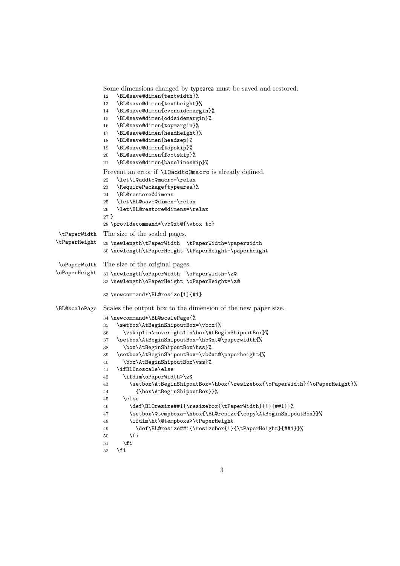Some dimensions changed by typearea must be saved and restored. \BL@save@dimen{textwidth}% \BL@save@dimen{textheight}% \BL@save@dimen{evensidemargin}% \BL@save@dimen{oddsidemargin}% \BL@save@dimen{topmargin}% \BL@save@dimen{headheight}% \BL@save@dimen{headsep}% \BL@save@dimen{topskip}% \BL@save@dimen{footskip}% \BL@save@dimen{baselineskip}% Prevent an error if \l@addto@macro is already defined. \let\l@addto@macro=\relax \RequirePackage{typearea}% \BL@restore@dimens \let\BL@save@dimen=\relax \let\BL@restore@dimens=\relax } \providecommand\*\vb@xt@{\vbox to} \tPaperWidth \tPaperHeight The size of the scaled pages. \newlength\tPaperWidth \tPaperWidth=\paperwidth \newlength\tPaperHeight \tPaperHeight=\paperheight \oPaperWidth \oPaperHeight The size of the original pages. \newlength\oPaperWidth \oPaperWidth=\z@ \newlength\oPaperHeight \oPaperHeight=\z@ \newcommand\*\BL@resize[1]{#1} \BL@scalePage Scales the output box to the dimension of the new paper size. \newcommand\*\BL@scalePage{% \setbox\AtBeginShipoutBox=\vbox{% 36 \vskip1in\moveright1in\box\AtBeginShipoutBox}% \setbox\AtBeginShipoutBox=\hb@xt@\paperwidth{% \box\AtBeginShipoutBox\hss}% \setbox\AtBeginShipoutBox=\vb@xt@\paperheight{% \box\AtBeginShipoutBox\vss}% \ifBL@noscale\else \ifdim\oPaperWidth>\z@  $43 \verb|\setbox{\AtBeginShipoutBox=\hbox{\resizebox{\verb|opaperWidth}+}\ofap{{\verb|opaperHeight}|} % \label{fig:2d}%$  {\box\AtBeginShipoutBox}}% \else  $46 \label{thm:main} $$ \def\BL@resize\#1{\resizebox{\th}2p=Width}_{!}^{##1}}\$ 47 \setbox\@tempboxa=\hbox{\BL@resize{\copy\AtBeginShipoutBox}}% \ifdim\ht\@tempboxa>\tPaperHeight \def\BL@resize##1{\resizebox{!}{\tPaperHeight}{##1}}%  $50 \overline{\text{f}i}$  $\setminus$ fi  $\overline{52}$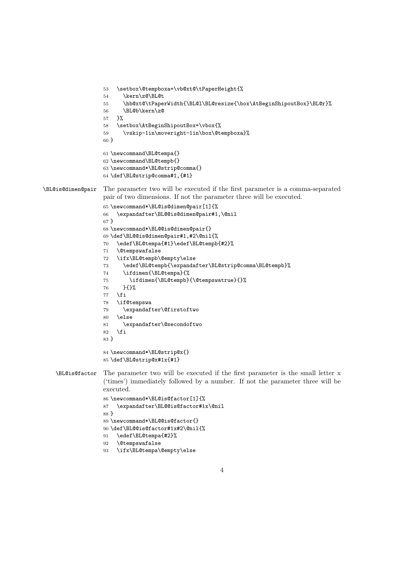```
53 \setbox\@tempboxa=\vb@xt@\tPaperHeight{%
                  54 \kern\z@\BL@t
                  55 \hb@xt@\tPaperWidth{\BL@l\BL@resize{\box\AtBeginShipoutBox}\BL@r}%
                  56 \BL@b\kern\z@
                  57 }%
                  58 \setbox\AtBeginShipoutBox=\vbox{%
                  59 \vskip-1in\moveright-1in\box\@tempboxa}%
                  60 }
                  61 \newcommand\BL@tempa{}
                  62 \newcommand\BL@tempb{}
                  63 \newcommand*\BL@strip@comma{}
                  64 \def\BL@strip@comma#1,{#1}
\BL@is@dimen@pair The parameter two will be executed if the first parameter is a comma-separated
                  pair of two dimensions. If not the parameter three will be executed.
                  65 \newcommand*\BL@is@dimen@pair[1]{%
                  66 \expandafter\BL@@is@dimen@pair#1,\@nil
                  67 }
                  68 \newcommand*\BL@@is@dimen@pair{}
                  69 \def\BL@@is@dimen@pair#1,#2\@nil{%
                  70 \edef\BL@tempa{#1}\edef\BL@tempb{#2}%
                  71 \@tempswafalse
                  72 \ifx\BL@tempb\@empty\else
                  73 \edef\BL@tempb{\expandafter\BL@strip@comma\BL@tempb}%
                  74 \ifdimen{\BL@tempa}{%
                  75 \ifdimen{\BL@tempb}{\@tempswatrue}{}%
                  76 }{}%
                  77 \fi
                  78 \if@tempswa
                  79 \expandafter\@firstoftwo
                  80 \else
                  81 \expandafter\@secondoftwo
                  82 \fi
                  83 }
                  84 \newcommand*\BL@strip@x{}
                  85 \def\BL@strip@x#1x{#1}
   \BL@is@factor The parameter two will be executed if the first parameter is the small letter x
                   ('times') immediately followed by a number. If not the parameter three will be
                  executed.
                  86 \newcommand*\BL@is@factor[1]{%
                  87 \expandafter\BL@@is@factor#1x\@nil
                  88 }
                  89 \newcommand*\BL@@is@factor{}
                  90 \def\BL@@is@factor#1x#2\@nil{%
                  91 \edef\BL@tempa{#2}%
                  92 \@tempswafalse
                  93 \ifx\BL@tempa\@empty\else
```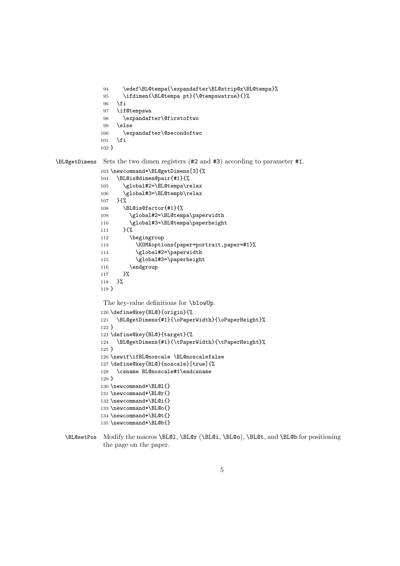```
94 \edef\BL@tempa{\expandafter\BL@strip@x\BL@tempa}%
95 \ifdimen{\BL@tempa pt}{\@tempswatrue}{}%
96 \fi
97 \if@tempswa
98 \expandafter\@firstoftwo
99 \else
100 \expandafter\@secondoftwo
101 \setminusfi
102 }
```
\BL@getDimens Sets the two dimen registers (#2 and #3) according to parameter #1.

```
103 \newcommand*\BL@getDimens[3]{%
104 \BL@is@dimen@pair{#1}{%
105 \global#2=\BL@tempa\relax
106 \global#3=\BL@tempb\relax
107 }{%
108 \BL@is@factor{#1}{%
109 \global#2=\BL@tempa\paperwidth
110 \global#3=\BL@tempa\paperheight
111 }{%
112 \begingroup
113 \KOMAoptions{paper=portrait,paper=#1}%
114 \global#2=\paperwidth
115 \global#3=\paperheight
116 \endgroup
117 }%
118 }%
```
The key-value definitions for \blowUp.

}

```
120 \define@key{BL@}{origin}{%
121 \BL@getDimens{#1}{\oPaperWidth}{\oPaperHeight}%
122 }
123 \define@key{BL@}{target}{%
124 \BL@getDimens{#1}{\tPaperWidth}{\tPaperHeight}%
125 }
126 \newif\ifBL@noscale \BL@noscalefalse
127 \define@key{BL@}{noscale}[true]{%
128 \csname BL@noscale#1\endcsname
129 }
130 \newcommand*\BL@l{}
131 \newcommand*\BL@r{}
132 \newcommand*\BL@i{}
133 \newcommand*\BL@o{}
134 \newcommand*\BL@t{}
135 \newcommand*\BL@b{}
```
\BL@setPos Modify the macros \BL@l, \BL@r (\BL@i, \BL@o), \BL@t, and \BL@b for positioning the page on the paper.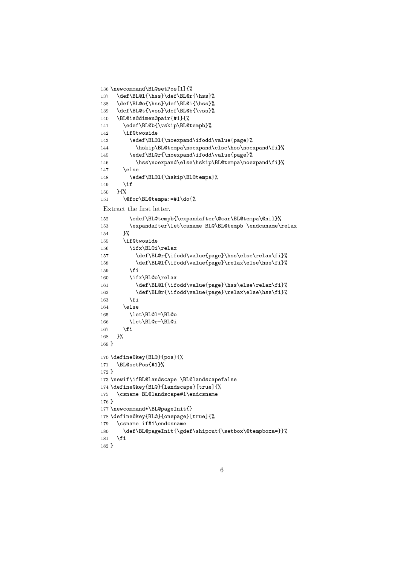```
136 \newcommand\BL@setPos[1]{%
137 \def\BL@l{\hss}\def\BL@r{\hss}%
138 \def\BL@o{\hss}\def\BL@i{\hss}%
139 \def\BL@t{\vss}\def\BL@b{\vss}%
140 \BL@is@dimen@pair{#1}{%
141 \edef\BL@b{\vskip\BL@tempb}%
142 \if@twoside
143 \edef\BL@l{\noexpand\ifodd\value{page}%
144 \hskip\BL@tempa\noexpand\else\hss\noexpand\fi}%
145 \edef\BL@r{\noexpand\ifodd\value{page}%
146 \hss\noexpand\else\hskip\BL@tempa\noexpand\fi}%
147 \else
148 \edef\BL@l{\hskip\BL@tempa}%
149 \if
150 }{%
151 \@for\BL@tempa:=#1\do{%
Extract the first letter.
152 \edef\BL@tempb{\expandafter\@car\BL@tempa\@nil}%
153 \expandafter\let\csname BL@\BL@tempb \endcsname\relax
154 }%
155 \if@twoside
156 \ifx\BL@i\relax
157 \def\BL@r{\ifodd\value{page}\hss\else\relax\fi}%
158 \def\BL@l{\ifodd\value{page}\relax\else\hss\fi}%
159 \fi
160 \ifx\BL@o\relax
161 \def\BL@l{\ifodd\value{page}\hss\else\relax\fi}%
162 \def\BL@r{\ifodd\value{page}\relax\else\hss\fi}%
163 \fi
164 \else
165 \let\BL@l=\BL@o
166 \let\BL@r=\BL@i
167 \fi
168 }%
169 }
170 \define@key{BL@}{pos}{%
171 \BL@setPos{#1}%
172 }
173 \newif\ifBL@landscape \BL@landscapefalse
174 \define@key{BL@}{landscape}[true]{%
175 \csname BL@landscape#1\endcsname
176 }
177 \newcommand*\BL@pageInit{}
178 \define@key{BL@}{onepage}[true]{%
179 \csname if#1\endcsname
180 \def\BL@pageInit{\gdef\shipout{\setbox\@tempboxa=}}%<br>181 \fi
    \chi_{fi}
```

```
182 }
```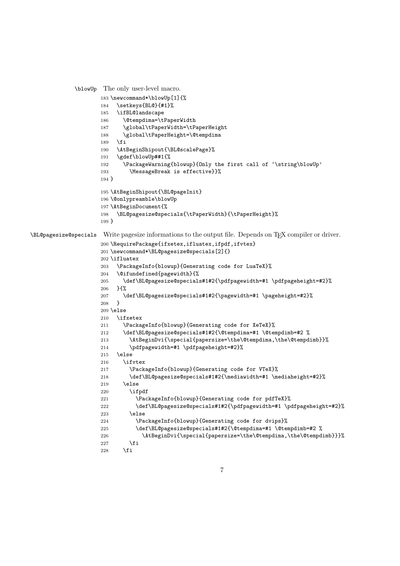```
\blowUp The only user-level macro.
                     183 \newcommand*\blowUp[1]{%
                     184 \setkeys{BL@}{#1}%
                     185 \ifBL@landscape
                     186 \@tempdima=\tPaperWidth
                     187 \global\tPaperWidth=\tPaperHeight
                     188 \global\tPaperHeight=\@tempdima
                     189 \fi
                     190 \AtBeginShipout{\BL@scalePage}%
                     191 \gdef\blowUp##1{%
                     192 \PackageWarning{blowup}{Only the first call of '\string\blowUp'
                     193 \MessageBreak is effective}}%
                     194 }
                     195 \AtBeginShipout{\BL@pageInit}
                     196 \@onlypreamble\blowUp
                     197 \AtBeginDocument{%
                     198 \BL@pagesize@specials{\tPaperWidth}{\tPaperHeight}%
                     199 }
\BL@pagesize@specials Write pagesize informations to the output file. Depends on TEX compiler or driver.
                     200 \RequirePackage{ifxetex,ifluatex,ifpdf,ifvtex}
                     201 \newcommand*\BL@pagesize@specials[2]{}
                     202 \ifluatex
                     203 \PackageInfo{blowup}{Generating code for LuaTeX}%
                     204 \@ifundefined{pagewidth}{%
                     205 \def\BL@pagesize@specials#1#2{\pdfpagewidth=#1 \pdfpageheight=#2}%
                     206 } {%
                     207 \def\BL@pagesize@specials#1#2{\pagewidth=#1 \pageheight=#2}%
                     208 }
                     209 \else
                     210 \ifxetex
                     211 \PackageInfo{blowup}{Generating code for XeTeX}%
                     212 \def\BL@pagesize@specials#1#2{\@tempdima=#1 \@tempdimb=#2 %
                     213 \AtBeginDvi{\special{papersize=\the\@tempdima,\the\@tempdimb}}%
                     214 \pdfpagewidth=#1 \pdfpageheight=#2}%
                     215 \else
                     216 \ifvtex
                     217 \PackageInfo{blowup}{Generating code for VTeX}%
                     218 \def\BL@pagesize@specials#1#2{\mediawidth=#1 \mediaheight=#2}%
                     219 \else
                     220 \ifpdf
                     221 \PackageInfo{blowup}{Generating code for pdfTeX}%
                     222 \def\BL@pagesize@specials#1#2{\pdfpagewidth=#1 \pdfpageheight=#2}%
                     223 \else
                     224 \PackageInfo{blowup}{Generating code for dvips}%
                     225 \def\BL@pagesize@specials#1#2{\@tempdima=#1 \@tempdimb=#2 %
                     226 \AtBeginDvi{\special{papersize=\the\@tempdima,\the\@tempdimb}}}%
                     227 \ifmmode \overline{\text{ifi}}\else \fi
                     228 \fi
```